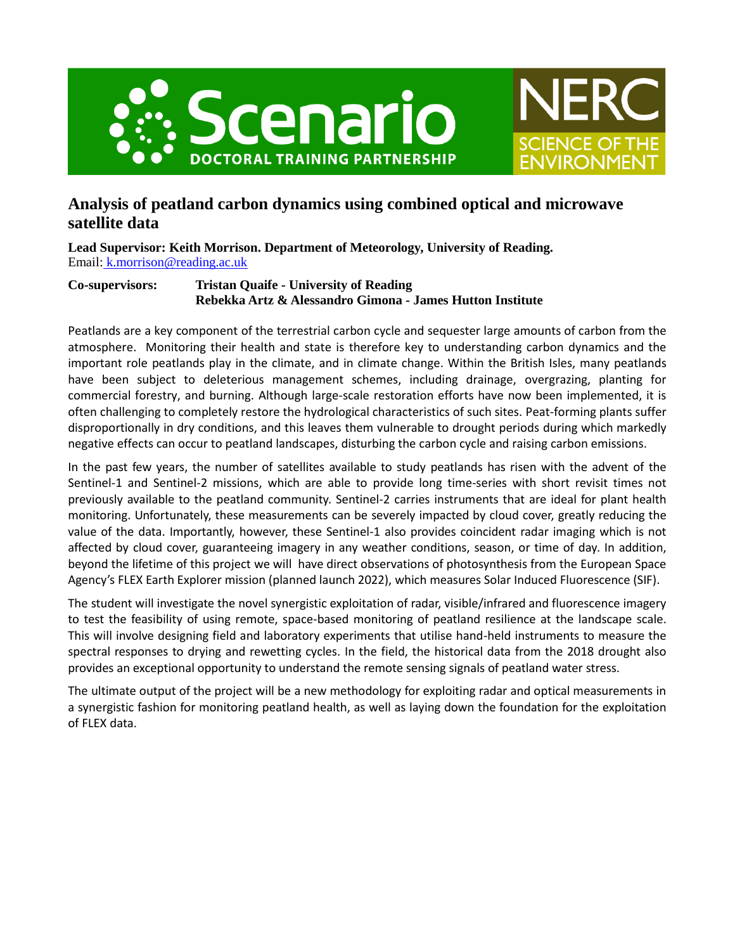



# **Analysis of peatland carbon dynamics using combined optical and microwave satellite data**

**Lead Supervisor: Keith Morrison. Department of Meteorology, University of Reading.** Email: [k.morrison@reading.ac.uk](mailto:%20k.morrison@reading.ac.uk)

# **Co-supervisors: Tristan Quaife - University of Reading Rebekka Artz & Alessandro Gimona - James Hutton Institute**

Peatlands are a key component of the terrestrial carbon cycle and sequester large amounts of carbon from the atmosphere. Monitoring their health and state is therefore key to understanding carbon dynamics and the important role peatlands play in the climate, and in climate change. Within the British Isles, many peatlands have been subject to deleterious management schemes, including drainage, overgrazing, planting for commercial forestry, and burning. Although large-scale restoration efforts have now been implemented, it is often challenging to completely restore the hydrological characteristics of such sites. Peat-forming plants suffer disproportionally in dry conditions, and this leaves them vulnerable to drought periods during which markedly negative effects can occur to peatland landscapes, disturbing the carbon cycle and raising carbon emissions.

In the past few years, the number of satellites available to study peatlands has risen with the advent of the Sentinel-1 and Sentinel-2 missions, which are able to provide long time-series with short revisit times not previously available to the peatland community. Sentinel-2 carries instruments that are ideal for plant health monitoring. Unfortunately, these measurements can be severely impacted by cloud cover, greatly reducing the value of the data. Importantly, however, these Sentinel-1 also provides coincident radar imaging which is not affected by cloud cover, guaranteeing imagery in any weather conditions, season, or time of day. In addition, beyond the lifetime of this project we will have direct observations of photosynthesis from the European Space Agency's FLEX Earth Explorer mission (planned launch 2022), which measures Solar Induced Fluorescence (SIF).

The student will investigate the novel synergistic exploitation of radar, visible/infrared and fluorescence imagery to test the feasibility of using remote, space-based monitoring of peatland resilience at the landscape scale. This will involve designing field and laboratory experiments that utilise hand-held instruments to measure the spectral responses to drying and rewetting cycles. In the field, the historical data from the 2018 drought also provides an exceptional opportunity to understand the remote sensing signals of peatland water stress.

The ultimate output of the project will be a new methodology for exploiting radar and optical measurements in a synergistic fashion for monitoring peatland health, as well as laying down the foundation for the exploitation of FLEX data.